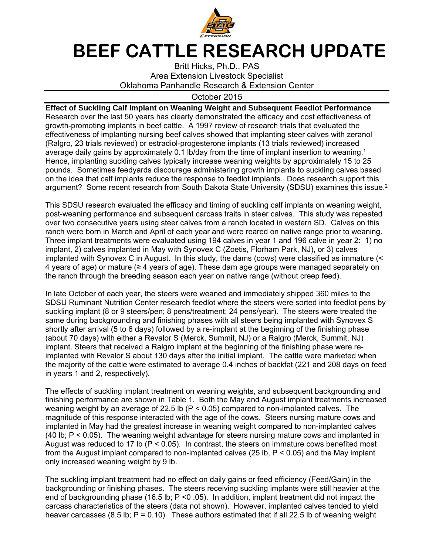

## **BEEF CATTLE RESEARCH UPDATE**

Britt Hicks, Ph.D., PAS Area Extension Livestock Specialist Oklahoma Panhandle Research & Extension Center

## October 2015

**Effect of Suckling Calf Implant on Weaning Weight and Subsequent Feedlot Performance**  Research over the last 50 years has clearly demonstrated the efficacy and cost effectiveness of growth-promoting implants in beef cattle. A 1997 review of research trials that evaluated the effectiveness of implanting nursing beef calves showed that implanting steer calves with zeranol (Ralgro, 23 trials reviewed) or estradiol-progesterone implants (13 trials reviewed) increased average daily gains by approximately 0.1 lb/day from the time of implant insertion to weaning.<sup>1</sup> Hence, implanting suckling calves typically increase weaning weights by approximately 15 to 25 pounds. Sometimes feedyards discourage administering growth implants to suckling calves based on the idea that calf implants reduce the response to feedlot implants. Does research support this argument? Some recent research from South Dakota State University (SDSU) examines this issue.<sup>2</sup>

This SDSU research evaluated the efficacy and timing of suckling calf implants on weaning weight, post-weaning performance and subsequent carcass traits in steer calves. This study was repeated over two consecutive years using steer calves from a ranch located in western SD. Calves on this ranch were born in March and April of each year and were reared on native range prior to weaning. Three implant treatments were evaluated using 194 calves in year 1 and 196 calve in year 2: 1) no implant, 2) calves implanted in May with Synovex C (Zoetis, Florham Park, NJ), or 3) calves implanted with Synovex C in August. In this study, the dams (cows) were classified as immature (< 4 years of age) or mature ( $\geq 4$  years of age). These dam age groups were managed separately on the ranch through the breeding season each year on native range (without creep feed).

In late October of each year, the steers were weaned and immediately shipped 360 miles to the SDSU Ruminant Nutrition Center research feedlot where the steers were sorted into feedlot pens by suckling implant (8 or 9 steers/pen; 8 pens/treatment; 24 pens/year). The steers were treated the same during backgrounding and finishing phases with all steers being implanted with Synovex S shortly after arrival (5 to 6 days) followed by a re-implant at the beginning of the finishing phase (about 70 days) with either a Revalor S (Merck, Summit, NJ) or a Ralgro (Merck, Summit, NJ) implant. Steers that received a Ralgro implant at the beginning of the finishing phase were reimplanted with Revalor S about 130 days after the initial implant. The cattle were marketed when the majority of the cattle were estimated to average 0.4 inches of backfat (221 and 208 days on feed in years 1 and 2, respectively).

The effects of suckling implant treatment on weaning weights, and subsequent backgrounding and finishing performance are shown in Table 1. Both the May and August implant treatments increased weaning weight by an average of 22.5 lb ( $P < 0.05$ ) compared to non-implanted calves. The magnitude of this response interacted with the age of the cows. Steers nursing mature cows and implanted in May had the greatest increase in weaning weight compared to non-implanted calves (40 lb; P < 0.05). The weaning weight advantage for steers nursing mature cows and implanted in August was reduced to 17 lb ( $P < 0.05$ ). In contrast, the steers on immature cows benefited most from the August implant compared to non-implanted calves (25 lb, P < 0.05) and the May implant only increased weaning weight by 9 lb.

The suckling implant treatment had no effect on daily gains or feed efficiency (Feed/Gain) in the backgrounding or finishing phases. The steers receiving suckling implants were still heavier at the end of backgrounding phase (16.5 lb; P <0 .05). In addition, implant treatment did not impact the carcass characteristics of the steers (data not shown). However, implanted calves tended to yield heaver carcasses (8.5 lb;  $P = 0.10$ ). These authors estimated that if all 22.5 lb of weaning weight